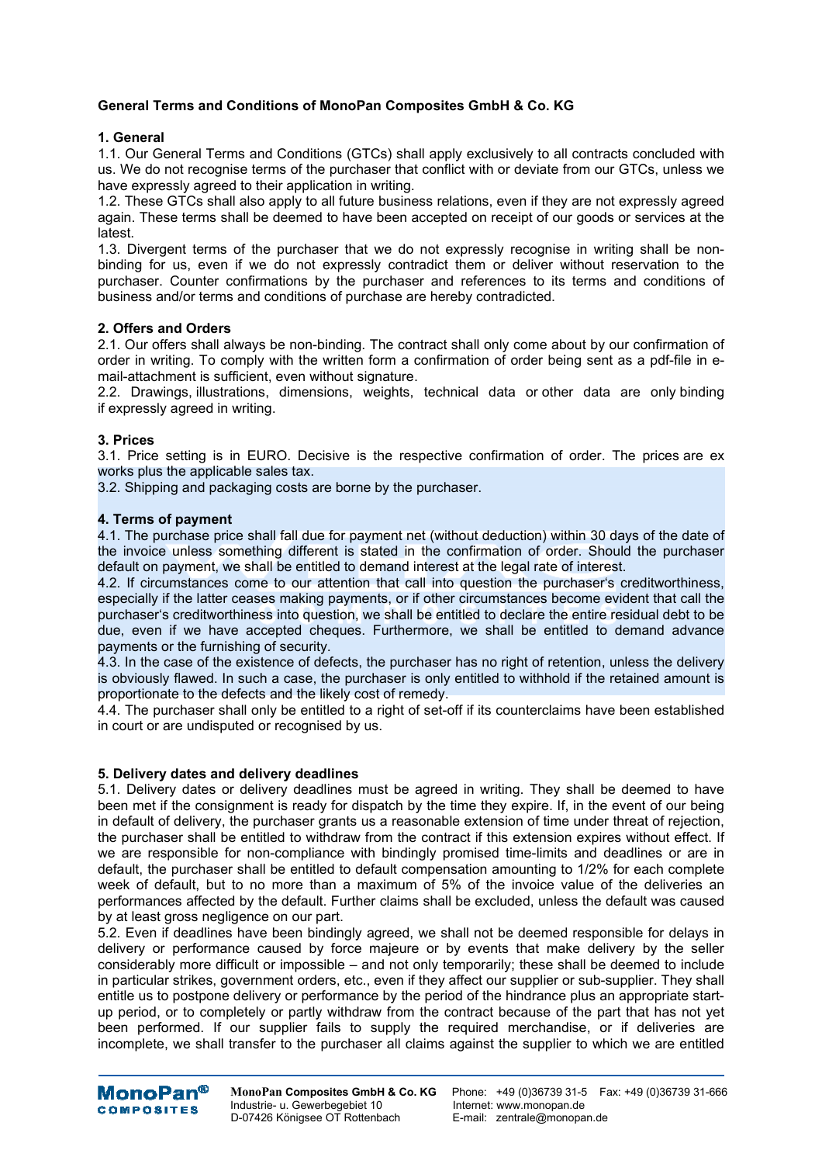# **General Terms and Conditions of MonoPan Composites GmbH & Co. KG**

## **1. General**

1.1. Our General Terms and Conditions (GTCs) shall apply exclusively to all contracts concluded with us. We do not recognise terms of the purchaser that conflict with or deviate from our GTCs, unless we have expressly agreed to their application in writing.

1.2. These GTCs shall also apply to all future business relations, even if they are not expressly agreed again. These terms shall be deemed to have been accepted on receipt of our goods or services at the latest.

1.3. Divergent terms of the purchaser that we do not expressly recognise in writing shall be nonbinding for us, even if we do not expressly contradict them or deliver without reservation to the purchaser. Counter confirmations by the purchaser and references to its terms and conditions of business and/or terms and conditions of purchase are hereby contradicted.

## **2. Offers and Orders**

2.1. Our offers shall always be non-binding. The contract shall only come about by our confirmation of order in writing. To comply with the written form a confirmation of order being sent as a pdf-file in email-attachment is sufficient, even without signature.

2.2. Drawings, illustrations, dimensions, weights, technical data or other data are only binding if expressly agreed in writing.

# **3. Prices**

3.1. Price setting is in EURO. Decisive is the respective confirmation of order. The prices are ex works plus the applicable sales tax.

3.2. Shipping and packaging costs are borne by the purchaser.

## **4. Terms of payment**

4.1. The purchase price shall fall due for payment net (without deduction) within 30 days of the date of the invoice unless something different is stated in the confirmation of order. Should the purchaser default on payment, we shall be entitled to demand interest at the legal rate of interest.

4.2. If circumstances come to our attention that call into question the purchaser's creditworthiness, especially if the latter ceases making payments, or if other circumstances become evident that call the purchaser's creditworthiness into question, we shall be entitled to declare the entire residual debt to be due, even if we have accepted cheques. Furthermore, we shall be entitled to demand advance payments or the furnishing of security.

4.3. In the case of the existence of defects, the purchaser has no right of retention, unless the delivery is obviously flawed. In such a case, the purchaser is only entitled to withhold if the retained amount is proportionate to the defects and the likely cost of remedy.

4.4. The purchaser shall only be entitled to a right of set-off if its counterclaims have been established in court or are undisputed or recognised by us.

## **5. Delivery dates and delivery deadlines**

5.1. Delivery dates or delivery deadlines must be agreed in writing. They shall be deemed to have been met if the consignment is ready for dispatch by the time they expire. If, in the event of our being in default of delivery, the purchaser grants us a reasonable extension of time under threat of rejection, the purchaser shall be entitled to withdraw from the contract if this extension expires without effect. If we are responsible for non-compliance with bindingly promised time-limits and deadlines or are in default, the purchaser shall be entitled to default compensation amounting to 1/2% for each complete week of default, but to no more than a maximum of 5% of the invoice value of the deliveries an performances affected by the default. Further claims shall be excluded, unless the default was caused by at least gross negligence on our part.

5.2. Even if deadlines have been bindingly agreed, we shall not be deemed responsible for delays in delivery or performance caused by force majeure or by events that make delivery by the seller considerably more difficult or impossible – and not only temporarily; these shall be deemed to include in particular strikes, government orders, etc., even if they affect our supplier or sub-supplier. They shall entitle us to postpone delivery or performance by the period of the hindrance plus an appropriate startup period, or to completely or partly withdraw from the contract because of the part that has not yet been performed. If our supplier fails to supply the required merchandise, or if deliveries are incomplete, we shall transfer to the purchaser all claims against the supplier to which we are entitled



Industrie- u. Gewerbegebiet 10 and the Internet: www.monopan.de<br>
D-07426 Königsee OT Rottenbach and E-mail: zentrale@monopan.de D-07426 Königsee OT Rottenbach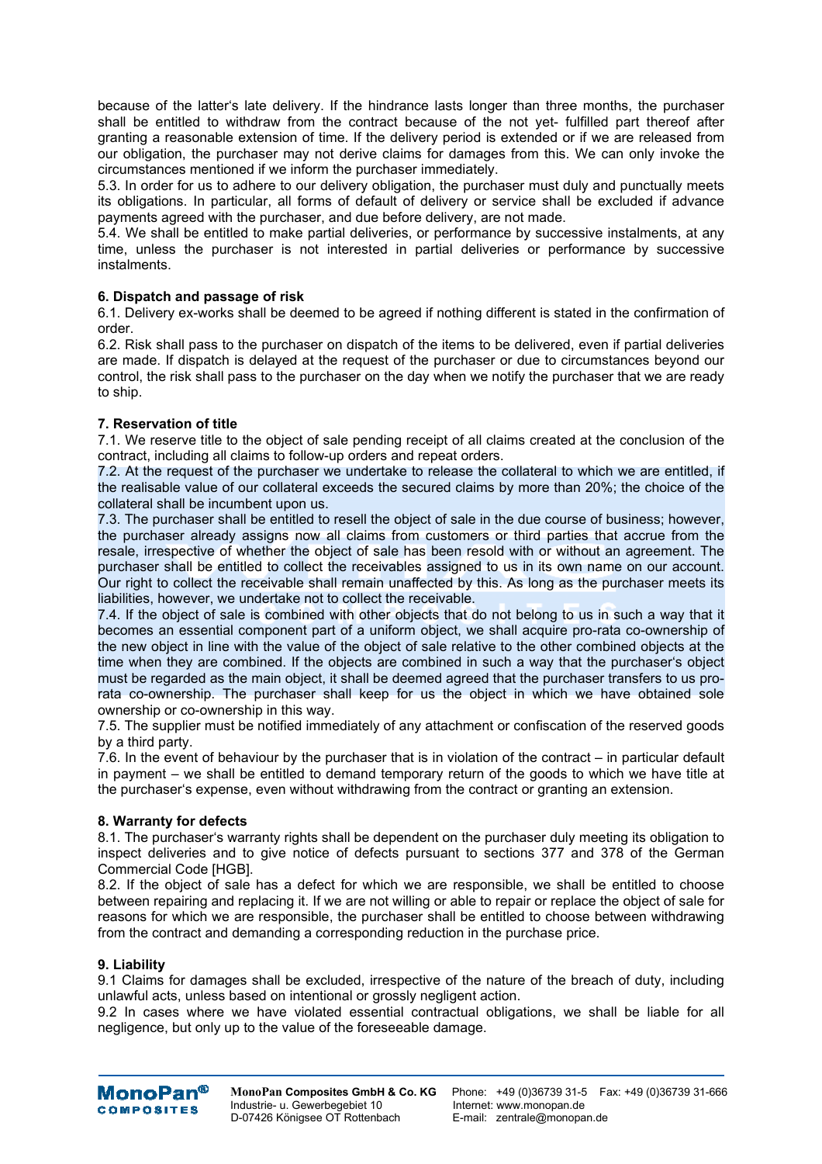because of the latter's late delivery. If the hindrance lasts longer than three months, the purchaser shall be entitled to withdraw from the contract because of the not yet- fulfilled part thereof after granting a reasonable extension of time. If the delivery period is extended or if we are released from our obligation, the purchaser may not derive claims for damages from this. We can only invoke the circumstances mentioned if we inform the purchaser immediately.

5.3. In order for us to adhere to our delivery obligation, the purchaser must duly and punctually meets its obligations. In particular, all forms of default of delivery or service shall be excluded if advance payments agreed with the purchaser, and due before delivery, are not made.

5.4. We shall be entitled to make partial deliveries, or performance by successive instalments, at any time, unless the purchaser is not interested in partial deliveries or performance by successive instalments.

# **6. Dispatch and passage of risk**

6.1. Delivery ex-works shall be deemed to be agreed if nothing different is stated in the confirmation of order.

6.2. Risk shall pass to the purchaser on dispatch of the items to be delivered, even if partial deliveries are made. If dispatch is delayed at the request of the purchaser or due to circumstances beyond our control, the risk shall pass to the purchaser on the day when we notify the purchaser that we are ready to ship.

# **7. Reservation of title**

7.1. We reserve title to the object of sale pending receipt of all claims created at the conclusion of the contract, including all claims to follow-up orders and repeat orders.

7.2. At the request of the purchaser we undertake to release the collateral to which we are entitled, if the realisable value of our collateral exceeds the secured claims by more than 20%; the choice of the collateral shall be incumbent upon us.

7.3. The purchaser shall be entitled to resell the object of sale in the due course of business; however, the purchaser already assigns now all claims from customers or third parties that accrue from the resale, irrespective of whether the object of sale has been resold with or without an agreement. The purchaser shall be entitled to collect the receivables assigned to us in its own name on our account. Our right to collect the receivable shall remain unaffected by this. As long as the purchaser meets its liabilities, however, we undertake not to collect the receivable.

7.4. If the object of sale is combined with other objects that do not belong to us in such a way that it becomes an essential component part of a uniform object, we shall acquire pro-rata co-ownership of the new object in line with the value of the object of sale relative to the other combined objects at the time when they are combined. If the objects are combined in such a way that the purchaser's object must be regarded as the main object, it shall be deemed agreed that the purchaser transfers to us prorata co-ownership. The purchaser shall keep for us the object in which we have obtained sole ownership or co-ownership in this way.

7.5. The supplier must be notified immediately of any attachment or confiscation of the reserved goods by a third party.

7.6. In the event of behaviour by the purchaser that is in violation of the contract – in particular default in payment – we shall be entitled to demand temporary return of the goods to which we have title at the purchaser's expense, even without withdrawing from the contract or granting an extension.

## **8. Warranty for defects**

8.1. The purchaser's warranty rights shall be dependent on the purchaser duly meeting its obligation to inspect deliveries and to give notice of defects pursuant to sections 377 and 378 of the German Commercial Code [HGB].

8.2. If the object of sale has a defect for which we are responsible, we shall be entitled to choose between repairing and replacing it. If we are not willing or able to repair or replace the object of sale for reasons for which we are responsible, the purchaser shall be entitled to choose between withdrawing from the contract and demanding a corresponding reduction in the purchase price.

## **9. Liability**

9.1 Claims for damages shall be excluded, irrespective of the nature of the breach of duty, including unlawful acts, unless based on intentional or grossly negligent action.

9.2 In cases where we have violated essential contractual obligations, we shall be liable for all negligence, but only up to the value of the foreseeable damage.